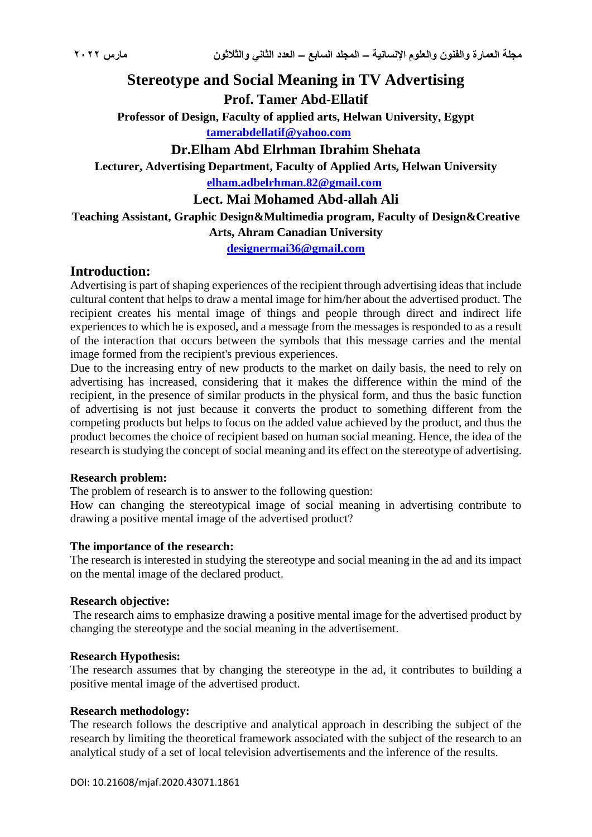# **Stereotype and Social Meaning in TV Advertising**

**Prof. Tamer Abd-Ellatif**

**Professor of Design, Faculty of applied arts, Helwan University, Egypt [tamerabdellatif@yahoo.com](mailto:tamerabdellatif@yahoo.com)**

# **Dr.Elham Abd Elrhman Ibrahim Shehata**

**Lecturer, Advertising Department, Faculty of Applied Arts, Helwan University [elham.adbelrhman.82@gmail.com](mailto:elham.adbelrhman.82@gmail.com)**

**Lect. Mai Mohamed Abd-allah Ali**

**Teaching Assistant, Graphic Design&Multimedia program, Faculty of Design&Creative** 

# **Arts, Ahram Canadian University**

**[designermai36@gmail.com](mailto:designermai36@gmail.com)**

# **Introduction:**

Advertising is part of shaping experiences of the recipient through advertising ideas that include cultural content that helps to draw a mental image for him/her about the advertised product. The recipient creates his mental image of things and people through direct and indirect life experiences to which he is exposed, and a message from the messages is responded to as a result of the interaction that occurs between the symbols that this message carries and the mental image formed from the recipient's previous experiences.

Due to the increasing entry of new products to the market on daily basis, the need to rely on advertising has increased, considering that it makes the difference within the mind of the recipient, in the presence of similar products in the physical form, and thus the basic function of advertising is not just because it converts the product to something different from the competing products but helps to focus on the added value achieved by the product, and thus the product becomes the choice of recipient based on human social meaning. Hence, the idea of the research is studying the concept of social meaning and its effect on the stereotype of advertising.

#### **Research problem:**

The problem of research is to answer to the following question:

How can changing the stereotypical image of social meaning in advertising contribute to drawing a positive mental image of the advertised product?

#### **The importance of the research:**

The research is interested in studying the stereotype and social meaning in the ad and its impact on the mental image of the declared product.

#### **Research objective:**

The research aims to emphasize drawing a positive mental image for the advertised product by changing the stereotype and the social meaning in the advertisement.

#### **Research Hypothesis:**

The research assumes that by changing the stereotype in the ad, it contributes to building a positive mental image of the advertised product.

# **Research methodology:**

The research follows the descriptive and analytical approach in describing the subject of the research by limiting the theoretical framework associated with the subject of the research to an analytical study of a set of local television advertisements and the inference of the results.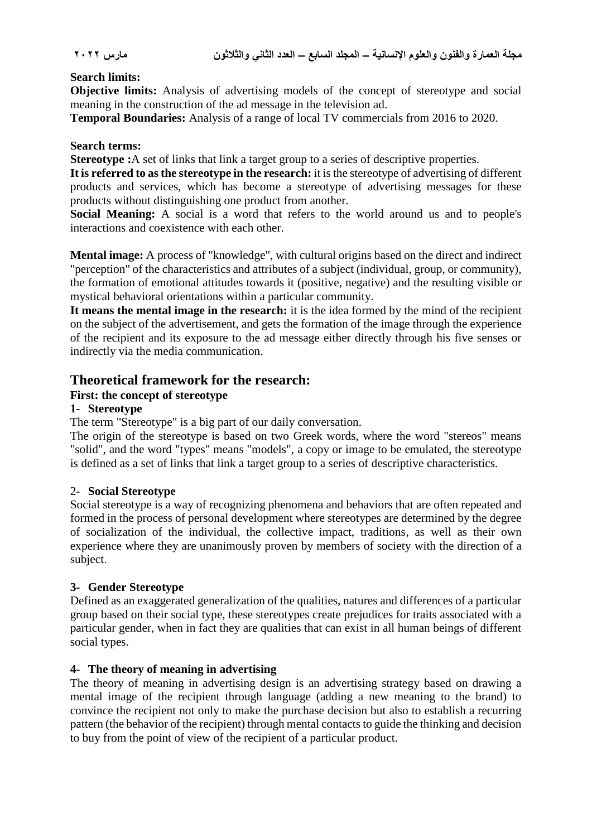# **Search limits:**

**Objective limits:** Analysis of advertising models of the concept of stereotype and social meaning in the construction of the ad message in the television ad.

**Temporal Boundaries:** Analysis of a range of local TV commercials from 2016 to 2020.

### **Search terms:**

**Stereotype :**A set of links that link a target group to a series of descriptive properties.

**It is referred to as the stereotype in the research:** it is the stereotype of advertising of different products and services, which has become a stereotype of advertising messages for these products without distinguishing one product from another.

**Social Meaning:** A social is a word that refers to the world around us and to people's interactions and coexistence with each other.

**Mental image:** A process of "knowledge", with cultural origins based on the direct and indirect "perception" of the characteristics and attributes of a subject (individual, group, or community), the formation of emotional attitudes towards it (positive, negative) and the resulting visible or mystical behavioral orientations within a particular community.

**It means the mental image in the research:** it is the idea formed by the mind of the recipient on the subject of the advertisement, and gets the formation of the image through the experience of the recipient and its exposure to the ad message either directly through his five senses or indirectly via the media communication.

# **Theoretical framework for the research:**

# **First: the concept of stereotype**

# **1- Stereotype**

The term "Stereotype" is a big part of our daily conversation.

The origin of the stereotype is based on two Greek words, where the word "stereos" means "solid", and the word "types" means "models", a copy or image to be emulated, the stereotype is defined as a set of links that link a target group to a series of descriptive characteristics.

#### 2- **Social Stereotype**

Social stereotype is a way of recognizing phenomena and behaviors that are often repeated and formed in the process of personal development where stereotypes are determined by the degree of socialization of the individual, the collective impact, traditions, as well as their own experience where they are unanimously proven by members of society with the direction of a subject.

#### **3- Gender Stereotype**

Defined as an exaggerated generalization of the qualities, natures and differences of a particular group based on their social type, these stereotypes create prejudices for traits associated with a particular gender, when in fact they are qualities that can exist in all human beings of different social types.

# **4- The theory of meaning in advertising**

The theory of meaning in advertising design is an advertising strategy based on drawing a mental image of the recipient through language (adding a new meaning to the brand) to convince the recipient not only to make the purchase decision but also to establish a recurring pattern (the behavior of the recipient) through mental contacts to guide the thinking and decision to buy from the point of view of the recipient of a particular product.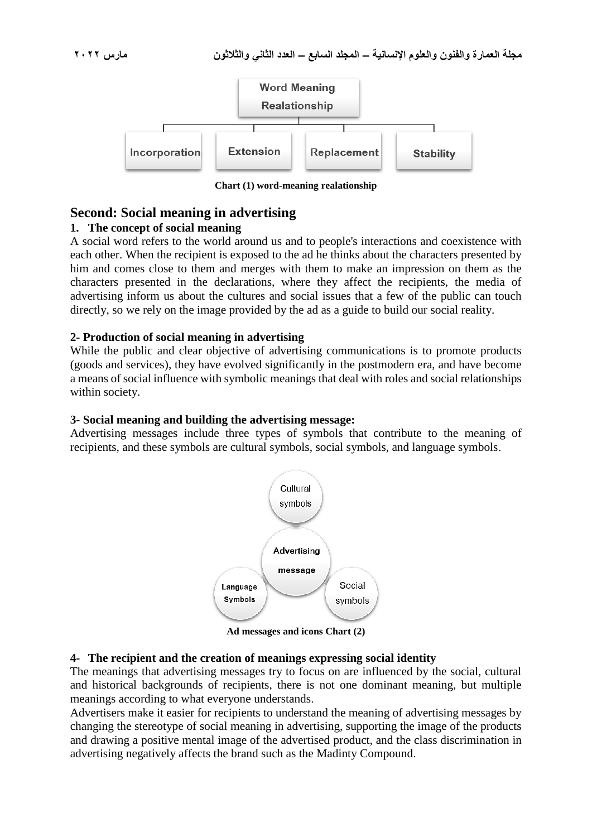

**Chart (1) word-meaning realationship**

# **Second: Social meaning in advertising**

# **1. The concept of social meaning**

A social word refers to the world around us and to people's interactions and coexistence with each other. When the recipient is exposed to the ad he thinks about the characters presented by him and comes close to them and merges with them to make an impression on them as the characters presented in the declarations, where they affect the recipients, the media of advertising inform us about the cultures and social issues that a few of the public can touch directly, so we rely on the image provided by the ad as a guide to build our social reality.

# **2- Production of social meaning in advertising**

While the public and clear objective of advertising communications is to promote products (goods and services), they have evolved significantly in the postmodern era, and have become a means of social influence with symbolic meanings that deal with roles and social relationships within society.

### **3- Social meaning and building the advertising message:**

Advertising messages include three types of symbols that contribute to the meaning of recipients, and these symbols are cultural symbols, social symbols, and language symbols.



**Ad messages and icons Chart (2)**

#### **4- The recipient and the creation of meanings expressing social identity**

The meanings that advertising messages try to focus on are influenced by the social, cultural and historical backgrounds of recipients, there is not one dominant meaning, but multiple meanings according to what everyone understands.

Advertisers make it easier for recipients to understand the meaning of advertising messages by changing the stereotype of social meaning in advertising, supporting the image of the products and drawing a positive mental image of the advertised product, and the class discrimination in advertising negatively affects the brand such as the Madinty Compound.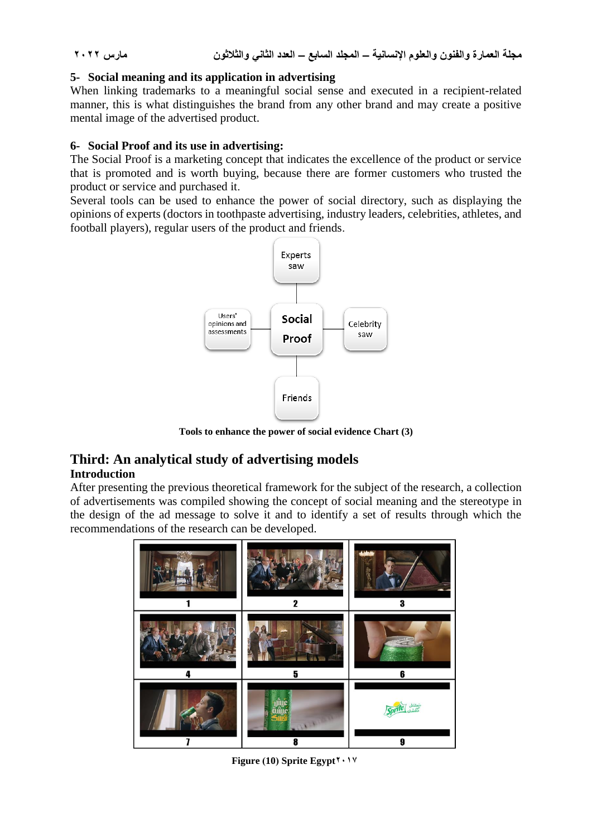# **5- Social meaning and its application in advertising**

When linking trademarks to a meaningful social sense and executed in a recipient-related manner, this is what distinguishes the brand from any other brand and may create a positive mental image of the advertised product.

# **6- Social Proof and its use in advertising:**

The Social Proof is a marketing concept that indicates the excellence of the product or service that is promoted and is worth buying, because there are former customers who trusted the product or service and purchased it.

Several tools can be used to enhance the power of social directory, such as displaying the opinions of experts (doctors in toothpaste advertising, industry leaders, celebrities, athletes, and football players), regular users of the product and friends.



**Tools to enhance the power of social evidence Chart (3)**

# **Third: An analytical study of advertising models Introduction**

After presenting the previous theoretical framework for the subject of the research, a collection of advertisements was compiled showing the concept of social meaning and the stereotype in the design of the ad message to solve it and to identify a set of results through which the recommendations of the research can be developed.



**Figure (10) Sprite Egypt**  $\gamma \cdot \gamma$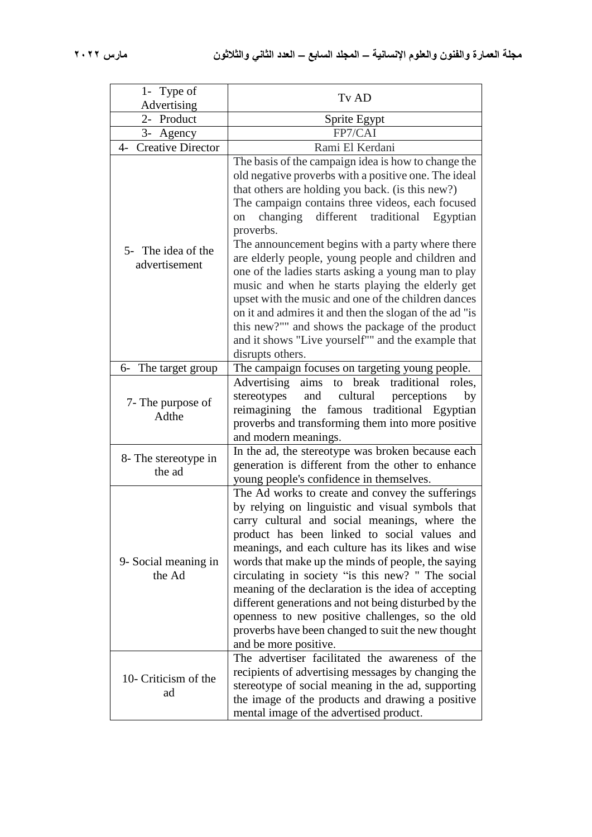| 1- Type of<br>Advertising           | Tv AD                                                                                                                                                                                                                                                                                                                                                                                                                                                                                                                                                                                                                                                                                                                                                      |
|-------------------------------------|------------------------------------------------------------------------------------------------------------------------------------------------------------------------------------------------------------------------------------------------------------------------------------------------------------------------------------------------------------------------------------------------------------------------------------------------------------------------------------------------------------------------------------------------------------------------------------------------------------------------------------------------------------------------------------------------------------------------------------------------------------|
| 2- Product                          | Sprite Egypt                                                                                                                                                                                                                                                                                                                                                                                                                                                                                                                                                                                                                                                                                                                                               |
| 3- Agency                           | FP7/CAI                                                                                                                                                                                                                                                                                                                                                                                                                                                                                                                                                                                                                                                                                                                                                    |
| 4- Creative Director                | Rami El Kerdani                                                                                                                                                                                                                                                                                                                                                                                                                                                                                                                                                                                                                                                                                                                                            |
| 5- The idea of the<br>advertisement | The basis of the campaign idea is how to change the<br>old negative proverbs with a positive one. The ideal<br>that others are holding you back. (is this new?)<br>The campaign contains three videos, each focused<br>different traditional<br>changing<br>Egyptian<br>on<br>proverbs.<br>The announcement begins with a party where there<br>are elderly people, young people and children and<br>one of the ladies starts asking a young man to play<br>music and when he starts playing the elderly get<br>upset with the music and one of the children dances<br>on it and admires it and then the slogan of the ad "is<br>this new?"" and shows the package of the product<br>and it shows "Live yourself"" and the example that<br>disrupts others. |
| 6- The target group                 | The campaign focuses on targeting young people.                                                                                                                                                                                                                                                                                                                                                                                                                                                                                                                                                                                                                                                                                                            |
| 7- The purpose of<br>Adthe          | Advertising<br>break<br>traditional<br>roles,<br>aims<br>to<br>stereotypes<br>cultural<br>and<br>perceptions<br>by<br>reimagining the famous traditional Egyptian<br>proverbs and transforming them into more positive<br>and modern meanings.                                                                                                                                                                                                                                                                                                                                                                                                                                                                                                             |
| 8- The stereotype in<br>the ad      | In the ad, the stereotype was broken because each<br>generation is different from the other to enhance<br>young people's confidence in themselves.                                                                                                                                                                                                                                                                                                                                                                                                                                                                                                                                                                                                         |
| 9- Social meaning in<br>the Ad      | The Ad works to create and convey the sufferings<br>by relying on linguistic and visual symbols that<br>carry cultural and social meanings, where the<br>product has been linked to social values and<br>meanings, and each culture has its likes and wise<br>words that make up the minds of people, the saying<br>circulating in society "is this new? " The social<br>meaning of the declaration is the idea of accepting<br>different generations and not being disturbed by the<br>openness to new positive challenges, so the old<br>proverbs have been changed to suit the new thought<br>and be more positive.                                                                                                                                     |
| 10- Criticism of the<br>ad          | The advertiser facilitated the awareness of the<br>recipients of advertising messages by changing the<br>stereotype of social meaning in the ad, supporting<br>the image of the products and drawing a positive<br>mental image of the advertised product.                                                                                                                                                                                                                                                                                                                                                                                                                                                                                                 |